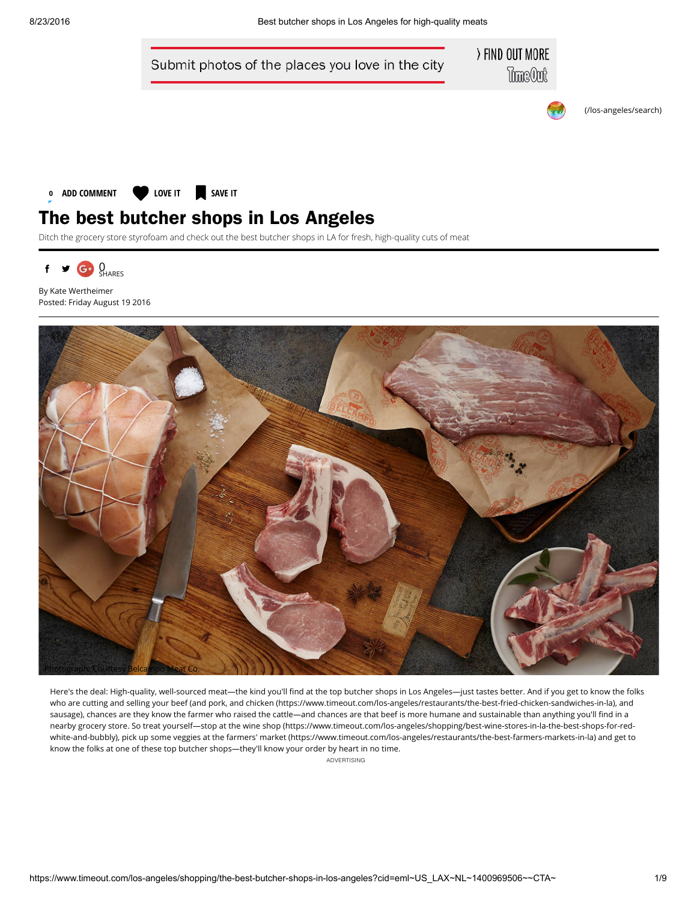



Ditch the grocery store styrofoam and check out the best butcher shops in LA for fresh, high-quality cuts of meat



By Kate Wertheimer Posted: Friday August 19 2016



Here's the deal: High-quality, well-sourced meat—the kind you'll find at the top butcher shops in Los Angeles—just tastes better. And if you get to know the folks who are cutting and selling your beef (and pork, and chicken [\(https://www.timeout.com/los-angeles/restaurants/the-best-fried-chicken-sandwiches-in-la\)](https://www.timeout.com/los-angeles/restaurants/the-best-fried-chicken-sandwiches-in-la), and sausage), chances are they know the farmer who raised the cattle—and chances are that beef is more humane and sustainable than anything you'll find in a nearby grocery store. So treat yourself—stop at the wine shop [\(https://www.timeout.com/los-angeles/shopping/best-wine-stores-in-la-the-best-shops-for-red](https://www.timeout.com/los-angeles/shopping/best-wine-stores-in-la-the-best-shops-for-red-white-and-bubbly)white-and-bubbly), pick up some veggies at the farmers' market [\(https://www.timeout.com/los-angeles/restaurants/the-best-farmers-markets-in-la\)](https://www.timeout.com/los-angeles/restaurants/the-best-farmers-markets-in-la) and get to know the folks at one of these top butcher shops—they'll know your order by heart in no time.

ADVERTISING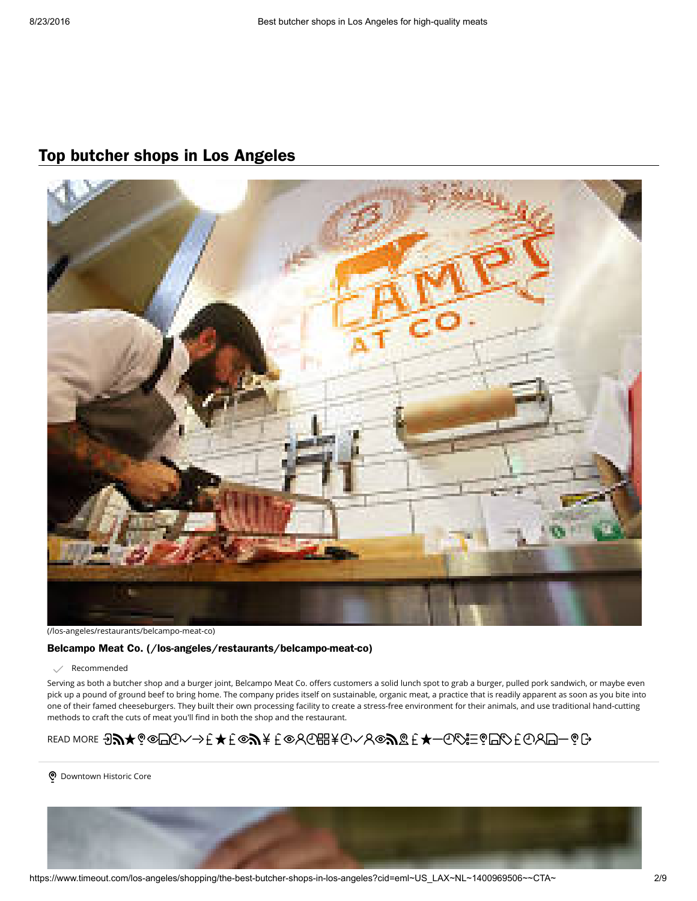### Top butcher shops in Los Angeles



[\(/los-angeles/restaurants/belcampo-meat-co\)](https://www.timeout.com/los-angeles/restaurants/belcampo-meat-co)

#### Belcampo Meat Co. [\(/los-angeles/restaurants/belcampo-meat-co\)](https://www.timeout.com/los-angeles/restaurants/belcampo-meat-co)

 $\swarrow$  Recommended

Serving as both a butcher shop and a burger joint, Belcampo Meat Co. offers customers a solid lunch spot to grab a burger, pulled pork sandwich, or maybe even pick up a pound of ground beef to bring home. The company prides itself on sustainable, organic meat, a practice that is readily apparent as soon as you bite into one of their famed cheeseburgers. They built their own processing facility to create a stress-free environment for their animals, and use traditional hand-cutting methods to craft the cuts of meat you'll find in both the shop and the restaurant.

# READ MORE ∂᠗★့◎□⊙ヘ→モ★モ◎৶★モ◎℅₲⊞★⊙ヘゟ◎৶@モ★─⊙⇙≌¿□⊘モ⊙∀□─◎G

o Downtown Historic Core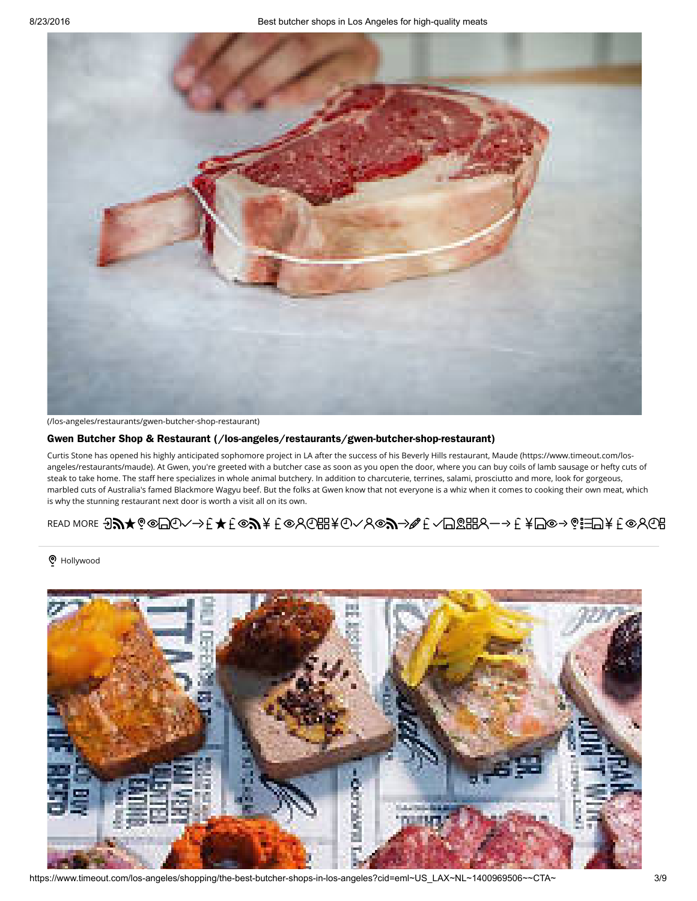

[\(/los-angeles/restaurants/gwen-butcher-shop-restaurant\)](https://www.timeout.com/los-angeles/restaurants/gwen-butcher-shop-restaurant)

#### Gwen Butcher Shop & Restaurant [\(/los-angeles/restaurants/gwen-butcher-shop-restaurant\)](https://www.timeout.com/los-angeles/restaurants/gwen-butcher-shop-restaurant)

Curtis Stone has opened his highly anticipated sophomore project in LA after the success of his Beverly Hills restaurant, Maude [\(https://www.timeout.com/los](https://www.timeout.com/los-angeles/restaurants/maude)angeles/restaurants/maude). At Gwen, you're greeted with a butcher case as soon as you open the door, where you can buy coils of lamb sausage or hefty cuts of steak to take home. The staff here specializes in whole animal butchery. In addition to charcuterie, terrines, salami, prosciutto and more, look for gorgeous, marbled cuts of Australia's famed Blackmore Wagyu beef. But the folks at Gwen know that not everyone is a whiz when it comes to cooking their own meat, which is why the stunning restaurant next door is worth a visit all on its own.

### READ MORE ∂᠗★♡◎□⊙ヘ→モ★モ◎♪★モ◎≻G⊞★⊙ヘゟ◎♪≫€ヽ□☎⊞ゟー→モ¥□◎→◎☷□¥€◎ゟŒ

#### o Hollywood



https://www.timeout.com/los-angeles/shopping/the-best-butcher-shops-in-los-angeles?cid=eml~US\_LAX~NL~1400969506~~CTA~ 3/9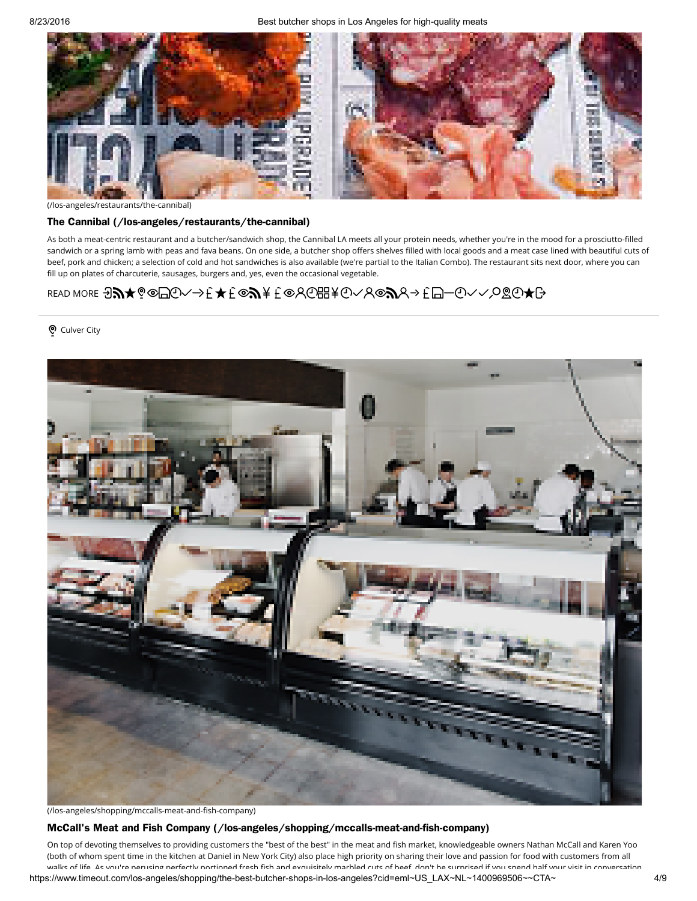

[\(/los-angeles/restaurants/the-cannibal\)](https://www.timeout.com/los-angeles/restaurants/the-cannibal)

#### The Cannibal [\(/los-angeles/restaurants/the-cannibal\)](https://www.timeout.com/los-angeles/restaurants/the-cannibal)

As both a meat-centric restaurant and a butcher/sandwich shop, the Cannibal LA meets all your protein needs, whether you're in the mood for a prosciutto-filled sandwich or a spring lamb with peas and fava beans. On one side, a butcher shop offers shelves filled with local goods and a meat case lined with beautiful cuts of beef, pork and chicken; a selection of cold and hot sandwiches is also available (we're partial to the Italian Combo). The restaurant sits next door, where you can fill up on plates of charcuterie, sausages, burgers and, yes, even the occasional vegetable.

### READ MORE JA★?©□①√→£★£©A¥£©8©⊞¥⊙√8©AR→£□-⊙√√º&⊙★G

#### o Culver City



(/los-angeles/shopping/mccalls-meat-and-fish-company)

#### McCall's Meat and Fish Company [\(/los-angeles/shopping/mccalls-meat-and-fish-company\)](https://www.timeout.com/los-angeles/shopping/mccalls-meat-and-fish-company)

https://www.timeout.com/los-angeles/shopping/the-best-butcher-shops-in-los-angeles?cid=eml~US\_LAX~NL~1400969506~~CTA~ 4/9 On top of devoting themselves to providing customers the "best of the best" in the meat and fish market, knowledgeable owners Nathan McCall and Karen Yoo (both of whom spent time in the kitchen at Daniel in New York City) also place high priority on sharing their love and passion for food with customers from all walks of life. As you're perusing perfectly portioned fresh fish and exquisitely marbled cuts of beef, don't be surprised if you spend half your visit in conversation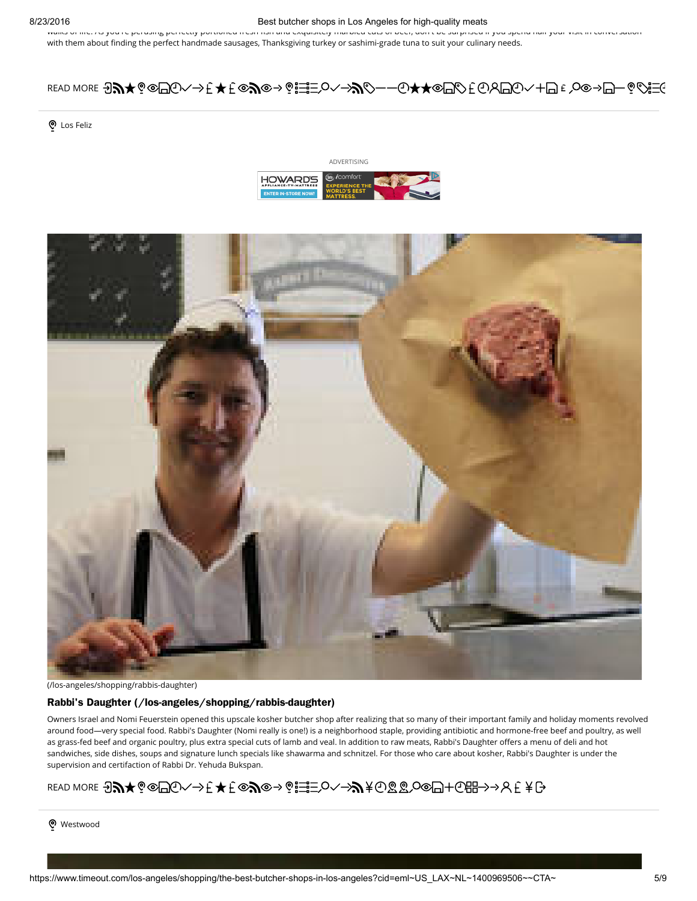#### 8/23/2016 **Best butcher shops in Los Angeles for high-quality meats** Best butcher shops in Los Angeles for high-quality meats

walks of life. As you're perusing perfectly portioned fresh rish and exquisitely marbled cuts of beef, don't be surprised if you spend half your visit in conversation with them about finding the perfect handmade sausages, Thanksgiving turkey or sashimi-grade tuna to suit your culinary needs.

### READ MORE 9♪★◎◎□⊙ヘ→モ ★モ◎♪◎→◎☵≡○ヘ→♪◇──⊙★★◎□◇モ⊙Y□⊙ヽ+□€◇◎→□─◎◇言

o Los Feliz





[\(/los-angeles/shopping/rabbis-daughter\)](https://www.timeout.com/los-angeles/shopping/rabbis-daughter)

#### Rabbi's Daughter [\(/los-angeles/shopping/rabbis-daughter\)](https://www.timeout.com/los-angeles/shopping/rabbis-daughter)

Owners Israel and Nomi Feuerstein opened this upscale kosher butcher shop after realizing that so many of their important family and holiday moments revolved around food—very special food. Rabbi's Daughter (Nomi really is one!) is a neighborhood staple, providing antibiotic and hormone-free beef and poultry, as well as grass-fed beef and organic poultry, plus extra special cuts of lamb and veal. In addition to raw meats, Rabbi's Daughter offers a menu of deli and hot sandwiches, side dishes, soups and signature lunch specials like shawarma and schnitzel. For those who care about kosher, Rabbi's Daughter is under the supervision and certifaction of Rabbi Dr. Yehuda Bukspan.

### READ MORE ∂᠗★့◎□⊙ヘ→モ★モ◎♪◎→◎☶⊃◇⌒→♪≮⊙☎☎◇◎□+⊙⊞→→</u>R€¥G

o Westwood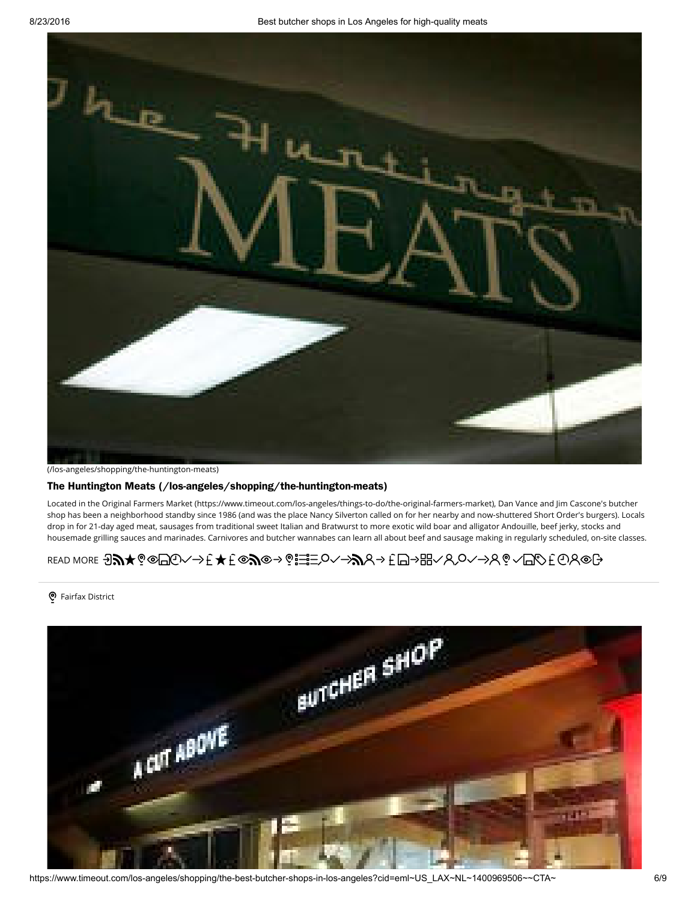

[\(/los-angeles/shopping/the-huntington-meats\)](https://www.timeout.com/los-angeles/shopping/the-huntington-meats)

#### The Huntington Meats [\(/los-angeles/shopping/the-huntington-meats\)](https://www.timeout.com/los-angeles/shopping/the-huntington-meats)

Located in the Original Farmers Market [\(https://www.timeout.com/los-angeles/things-to-do/the-original-farmers-market\)](https://www.timeout.com/los-angeles/things-to-do/the-original-farmers-market), Dan Vance and Jim Cascone's butcher shop has been a neighborhood standby since 1986 (and was the place Nancy Silverton called on for her nearby and now-shuttered Short Order's burgers). Locals drop in for 21-day aged meat, sausages from traditional sweet Italian and Bratwurst to more exotic wild boar and alligator Andouille, beef jerky, stocks and housemade grilling sauces and marinades. Carnivores and butcher wannabes can learn all about beef and sausage making in regularly scheduled, on-site classes.

## READ MORE 97⊁©©@©∠→È★£©?©→®; $\equiv$ O∠→?/\+DO+@}

#### o Fairfax District



https://www.timeout.com/los-angeles/shopping/the-best-butcher-shops-in-los-angeles?cid=eml~US\_LAX~NL~1400969506~~CTA~ 6/9